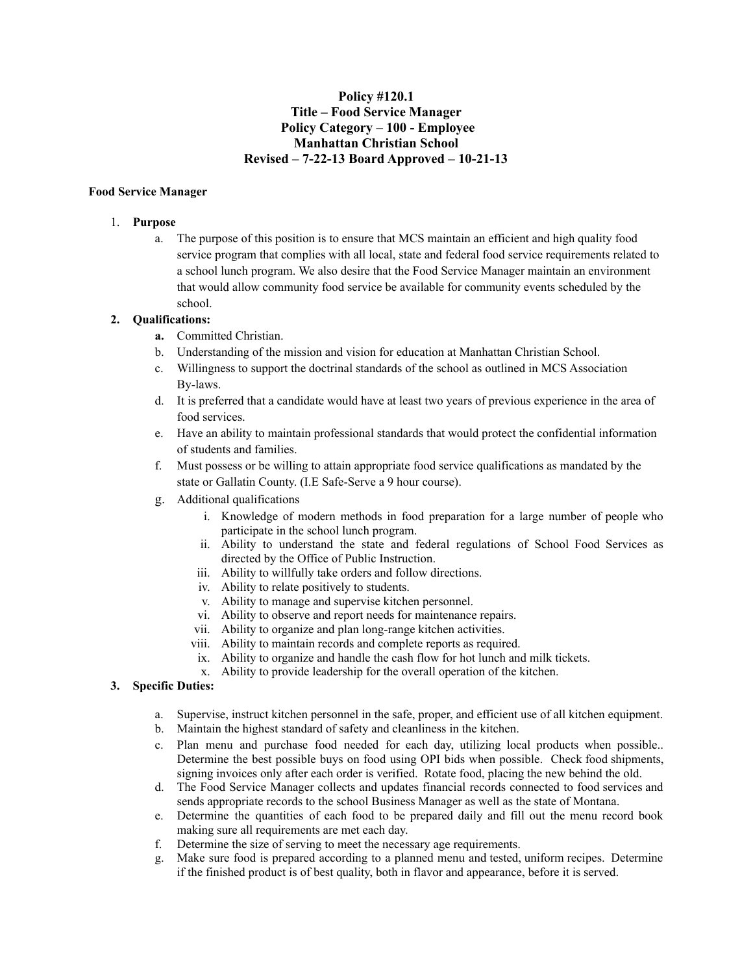# **Policy #120.1 Title – Food Service Manager Policy Category – 100 - Employee Manhattan Christian School Revised – 7-22-13 Board Approved – 10-21-13**

### **Food Service Manager**

#### 1. **Purpose**

a. The purpose of this position is to ensure that MCS maintain an efficient and high quality food service program that complies with all local, state and federal food service requirements related to a school lunch program. We also desire that the Food Service Manager maintain an environment that would allow community food service be available for community events scheduled by the school.

#### **2. Qualifications:**

- **a.** Committed Christian.
- b. Understanding of the mission and vision for education at Manhattan Christian School.
- c. Willingness to support the doctrinal standards of the school as outlined in MCS Association By-laws.
- d. It is preferred that a candidate would have at least two years of previous experience in the area of food services.
- e. Have an ability to maintain professional standards that would protect the confidential information of students and families.
- f. Must possess or be willing to attain appropriate food service qualifications as mandated by the state or Gallatin County. (I.E Safe-Serve a 9 hour course).
- g. Additional qualifications
	- i. Knowledge of modern methods in food preparation for a large number of people who participate in the school lunch program.
	- ii. Ability to understand the state and federal regulations of School Food Services as directed by the Office of Public Instruction.
	- iii. Ability to willfully take orders and follow directions.
	- iv. Ability to relate positively to students.
	- v. Ability to manage and supervise kitchen personnel.
	- vi. Ability to observe and report needs for maintenance repairs.
	- vii. Ability to organize and plan long-range kitchen activities.
	- viii. Ability to maintain records and complete reports as required.
	- ix. Ability to organize and handle the cash flow for hot lunch and milk tickets.
	- x. Ability to provide leadership for the overall operation of the kitchen.

## **3. Specific Duties:**

- a. Supervise, instruct kitchen personnel in the safe, proper, and efficient use of all kitchen equipment.
- b. Maintain the highest standard of safety and cleanliness in the kitchen.
- c. Plan menu and purchase food needed for each day, utilizing local products when possible.. Determine the best possible buys on food using OPI bids when possible. Check food shipments, signing invoices only after each order is verified. Rotate food, placing the new behind the old.
- d. The Food Service Manager collects and updates financial records connected to food services and sends appropriate records to the school Business Manager as well as the state of Montana.
- e. Determine the quantities of each food to be prepared daily and fill out the menu record book making sure all requirements are met each day.
- f. Determine the size of serving to meet the necessary age requirements.
- g. Make sure food is prepared according to a planned menu and tested, uniform recipes. Determine if the finished product is of best quality, both in flavor and appearance, before it is served.